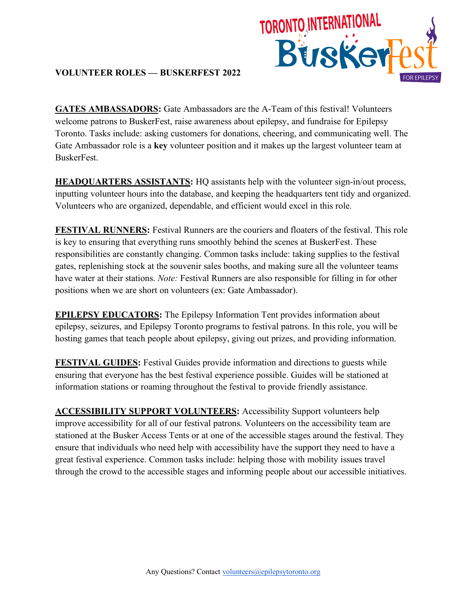

## **VOLUNTEER ROLES — BUSKERFEST 2022**

**GATES AMBASSADORS:** Gate Ambassadors are the A-Team of this festival! Volunteers welcome patrons to BuskerFest, raise awareness about epilepsy, and fundraise for Epilepsy Toronto. Tasks include: asking customers for donations, cheering, and communicating well. The Gate Ambassador role is a **key** volunteer position and it makes up the largest volunteer team at **BuskerFest.** 

**HEADQUARTERS ASSISTANTS:** HQ assistants help with the volunteer sign-in/out process, inputting volunteer hours into the database, and keeping the headquarters tent tidy and organized. Volunteers who are organized, dependable, and efficient would excel in this role.

**FESTIVAL RUNNERS:** Festival Runners are the couriers and floaters of the festival. This role is key to ensuring that everything runs smoothly behind the scenes at BuskerFest. These responsibilities are constantly changing. Common tasks include: taking supplies to the festival gates, replenishing stock at the souvenir sales booths, and making sure all the volunteer teams have water at their stations. *Note:* Festival Runners are also responsible for filling in for other positions when we are short on volunteers (ex: Gate Ambassador).

**EPILEPSY EDUCATORS:** The Epilepsy Information Tent provides information about epilepsy, seizures, and Epilepsy Toronto programs to festival patrons. In this role, you will be hosting games that teach people about epilepsy, giving out prizes, and providing information.

**FESTIVAL GUIDES:** Festival Guides provide information and directions to guests while ensuring that everyone has the best festival experience possible. Guides will be stationed at information stations or roaming throughout the festival to provide friendly assistance.

**ACCESSIBILITY SUPPORT VOLUNTEERS:** Accessibility Support volunteers help improve accessibility for all of our festival patrons. Volunteers on the accessibility team are stationed at the Busker Access Tents or at one of the accessible stages around the festival. They ensure that individuals who need help with accessibility have the support they need to have a great festival experience. Common tasks include: helping those with mobility issues travel through the crowd to the accessible stages and informing people about our accessible initiatives.